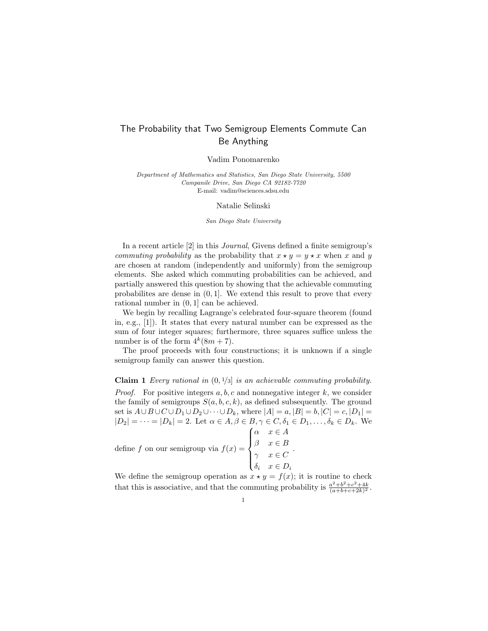## The Probability that Two Semigroup Elements Commute Can Be Anything

Vadim Ponomarenko

Department of Mathematics and Statistics, San Diego State University, 5500 Campanile Drive, San Diego CA 92182-7720 E-mail: vadim@sciences.sdsu.edu

Natalie Selinski

San Diego State University

In a recent article [2] in this Journal, Givens defined a finite semigroup's commuting probability as the probability that  $x \star y = y \star x$  when x and y are chosen at random (independently and uniformly) from the semigroup elements. She asked which commuting probabilities can be achieved, and partially answered this question by showing that the achievable commuting probabilites are dense in  $(0, 1]$ . We extend this result to prove that every rational number in (0, 1] can be achieved.

We begin by recalling Lagrange's celebrated four-square theorem (found in, e.g., [1]). It states that every natural number can be expressed as the sum of four integer squares; furthermore, three squares suffice unless the number is of the form  $4^k(8m+7)$ .

The proof proceeds with four constructions; it is unknown if a single semigroup family can answer this question.

**Claim 1** Every rational in  $(0, 1/3)$  is an achievable commuting probability. *Proof.* For positive integers  $a, b, c$  and nonnegative integer  $k$ , we consider the family of semigroups  $S(a, b, c, k)$ , as defined subsequently. The ground set is  $A \cup B \cup C \cup D_1 \cup D_2 \cup \cdots \cup D_k$ , where  $|A| = a$ ,  $|B| = b$ ,  $|C| = c$ ,  $|D_1| =$  $|D_2| = \cdots = |D_k| = 2$ . Let  $\alpha \in A, \beta \in B, \gamma \in C, \delta_1 \in D_1, \ldots, \delta_k \in D_k$ . We define f on our semigroup via  $f(x) =$  $\sqrt{ }$  $\int$  $\overline{\mathcal{L}}$  $\alpha \quad x \in A$  $\beta \quad x \in B$  $\gamma \quad x \in C$  $\delta_i \quad x \in D_i$ .

We define the semigroup operation as  $x \star y = f(x)$ ; it is routine to check that this is associative, and that the commuting probability is  $\frac{a^2+b^2+c^2+4k}{(a+b+c+2k)^2}$ .

1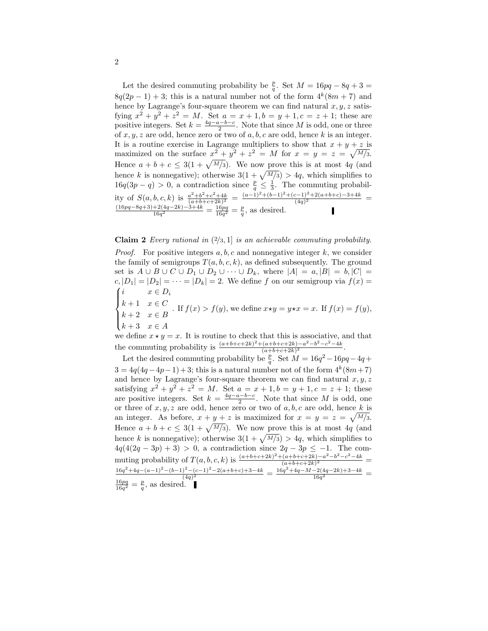Let the desired commuting probability be  $\frac{p}{q}$ . Set  $M = 16pq - 8q + 3 =$  $8q(2p-1)+3$ ; this is a natural number not of the form  $4^k(8m+7)$  and hence by Lagrange's four-square theorem we can find natural  $x, y, z$  satisfying  $x^2 + y^2 + z^2 = M$ . Set  $a = x + 1, b = y + 1, c = z + 1$ ; these are positive integers. Set  $k = \frac{4q-a-b-c}{2}$ . Note that since M is odd, one or three of  $x, y, z$  are odd, hence zero or two of  $a, b, c$  are odd, hence k is an integer. It is a routine exercise in Lagrange multipliers to show that  $x + y + z$  is maximized on the surface  $x^2 + y^2 + z^2 = M$  for  $x = y = z = \sqrt{M/3}$ . Hence  $a + b + c \leq 3(1 + \sqrt{M/3})$ . We now prove this is at most 4q (and hence k is nonnegative); otherwise  $3(1 + \sqrt{M/3}) > 4q$ , which simplifies to  $16q(3p-q) > 0$ , a contradiction since  $\frac{p}{q} \leq \frac{1}{3}$ . The commuting probability of  $S(a, b, c, k)$  is  $\frac{a^2+b^2+c^2+4k}{(a+b+c+2k)^2} = \frac{(a-1)^2+(b-1)^2+(c-1)^2+2(a+b+c)-3+4k}{(4q)^2}$  $\frac{(4q)^2}{(4q)^2} =$  $(16pq-8q+3)+2(4q-2k)-3+4k$  $\frac{+2(4q-2k)-3+4k}{16q^2} = \frac{16pq}{16q^2} = \frac{p}{q}$ , as desired.

**Claim 2** Every rational in  $(2/3, 1)$  is an achievable commuting probability.

*Proof.* For positive integers  $a, b, c$  and nonnegative integer k, we consider the family of semigroups  $T(a, b, c, k)$ , as defined subsequently. The ground set is  $A \cup B \cup C \cup D_1 \cup D_2 \cup \cdots \cup D_k$ , where  $|A| = a, |B| = b, |C| =$  $c, |D_1| = |D_2| = \cdots = |D_k| = 2$ . We define f on our semigroup via  $f(x) =$  $\sqrt{ }$  $\int$  $x \in D_i$  $k+1 \quad x \in C$ 

- $k+2$   $x \in B$ . If  $f(x) > f(y)$ , we define  $x \star y = y \star x = x$ . If  $f(x) = f(y)$ ,
- $\overline{\mathcal{L}}$  $k+3$   $x \in A$

we define  $x \star y = x$ . It is routine to check that this is associative, and that the commuting probability is  $\frac{(a+b+c+2k)^2 + (a+b+c+2k)-a^2-b^2-c^2-4k}{(a+b+c+2k)^2}$  $\frac{(a+b+c+2k)-a-0-c-4k}{(a+b+c+2k)^2}.$ 

Let the desired commuting probability be  $\frac{p}{q}$ . Set  $M = 16q^2 - 16pq - 4q +$  $3 = 4q(4q - 4p - 1) + 3$ ; this is a natural number not of the form  $4^k(8m + 7)$ and hence by Lagrange's four-square theorem we can find natural  $x, y, z$ satisfying  $x^2 + y^2 + z^2 = M$ . Set  $a = x + 1, b = y + 1, c = z + 1$ ; these are positive integers. Set  $k = \frac{4q-a-b-c}{2}$ . Note that since M is odd, one or three of  $x, y, z$  are odd, hence zero or two of  $a, b, c$  are odd, hence k is an integer. As before,  $x + y + z$  is maximized for  $x = y = z = \sqrt{M/3}$ . Hence  $a + b + c \leq 3(1 + \sqrt{M/3})$ . We now prove this is at most 4q (and hence k is nonnegative); otherwise  $3(1+\sqrt{M/3}) > 4q$ , which simplifies to  $4q(4(2q - 3p) + 3) > 0$ , a contradiction since  $2q - 3p \le -1$ . The commuting probability of  $T(a, b, c, k)$  is  $\frac{(a+b+c+2k)^2 + (a+b+c+2k)-a^2-b^2-c^2-4k}{(a+b+c+2k)^2}$  $\frac{(a+b+c+2k)-a^--b^--c^--4k}{(a+b+c+2k)^2} =$  $16q^2+4q-(a-1)^2-(b-1)^2-(c-1)^2-2(a+b+c)+3-4k$  $\frac{\left(2-(c-1)^2-(a+b+c)+3-4k}{(4q)^2}\right)}{16q^2+4q-M-2(4q-2k)+3-4k}$  $\frac{-2(4q-2\kappa)+3-4\kappa}{16q^2} =$  $\frac{16pq}{16q^2} = \frac{p}{q}$ , as desired.